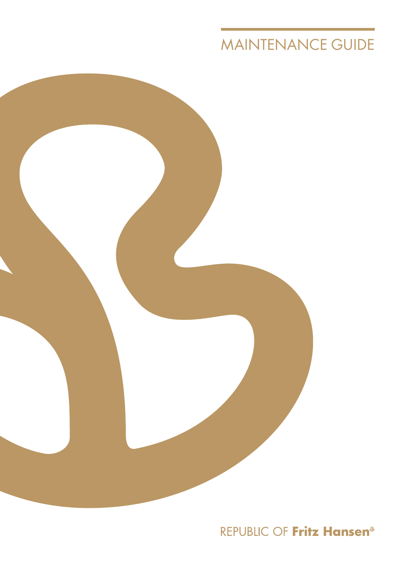# MAINTENANCE GUIDE



REPUBLIC OF Fritz Hansen<sup>®</sup>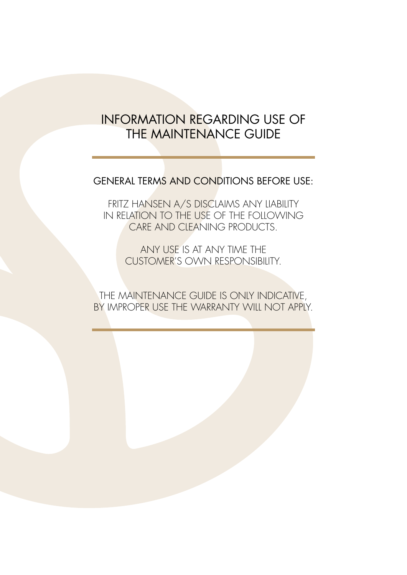## INFORMATION REGARDING USE OF THE MAINTENANCE GUIDE

## GENERAL TERMS AND CONDITIONS BEFORE USE:

FRITZ HANSEN A/S DISCLAIMS ANY LIABILITY IN RELATION TO THE USE OF THE FOLLOWING CARE AND CLEANING PRODUCTS.

> ANY USE IS AT ANY TIME THE CUSTOMER'S OWN RESPONSIBILITY.

THE MAINTENANCE GUIDE IS ONLY INDICATIVE, BY IMPROPER USE THE WARRANTY WILL NOT APPLY.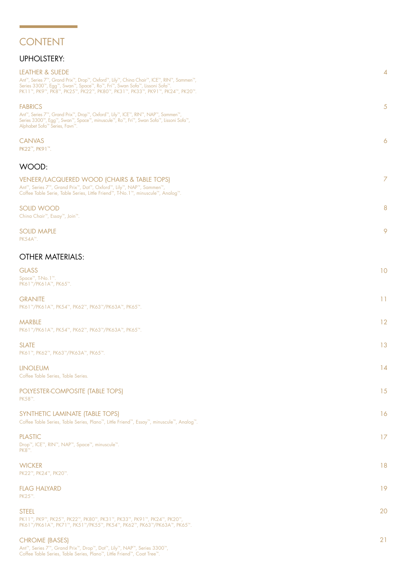## CONTENT

### UPHOLSTERY:

| <b>LEATHER &amp; SUEDE</b><br>Ant™, Series 7™, Grand Prix™, Drop™, Oxford™, Lily™, China Chair™, ICE™, RIN™, Sammen™,<br>Series 3300™, Egg™, Swan™, Space™, Ro™, Fri™, Swan Sofa™, Lissoni Sofa™<br>PK11™, PK9™, PK8™, PK25™, PK22™, PK80™, PK31™, PK33™, PK91™, PK24™, PK20™. | $\overline{4}$        |
|--------------------------------------------------------------------------------------------------------------------------------------------------------------------------------------------------------------------------------------------------------------------------------|-----------------------|
| <b>FABRICS</b><br>Ant™, Series 7™, Grand Prix™, Drop™, Oxford™, Lily™, ICE™, RIN™, NAP™, Sammen™,<br>Series 3300™, Egg™, Swan™, Space™, minuscule™, Ro™, Fri™, Swan Sofa™, Lissoni Sofa™,<br>Alphabet Sofa™ Series, Favn™.                                                     | 5                     |
| <b>CANVAS</b><br>PK22™, PK91™.                                                                                                                                                                                                                                                 | $\boldsymbol{\delta}$ |
| WOOD:                                                                                                                                                                                                                                                                          |                       |
| <b>VENEER/LACQUERED WOOD (CHAIRS &amp; TABLE TOPS)</b><br>Ant™, Series 7™, Grand Prix™, Dot™, Oxford™, Lily™, NAP™, Sammen™,<br>Coffee Table Serie, Table Series, Little Friend™, T-No.1™, minuscule™, Analog™.                                                                | 7                     |
| <b>SOLID WOOD</b><br>China Chair™, Essay™, Join™.                                                                                                                                                                                                                              | 8                     |
| <b>SOLID MAPLE</b><br>PK54A™.                                                                                                                                                                                                                                                  | 9                     |
| <b>OTHER MATERIALS:</b>                                                                                                                                                                                                                                                        |                       |
| <b>GLASS</b><br>Space <sup>™</sup> , T-No.1™.<br>PK61™/PK61A™, PK65™.                                                                                                                                                                                                          | 10                    |
| <b>GRANITE</b><br>PK61™/PK61A™, PK54™, PK62™, PK63™/PK63A™, PK65™.                                                                                                                                                                                                             | 11                    |
| <b>MARBLE</b><br>PK61™/PK61A™, PK54™, PK62™, PK63™/PK63A™, PK65™.                                                                                                                                                                                                              | 12                    |
| <b>SLATE</b><br>РК61™, РК62™, РК63™/РК63А™, РК65™.                                                                                                                                                                                                                             | 13                    |
| <b>LINOLEUM</b><br>Coffee Table Series, Table Series.                                                                                                                                                                                                                          | 14                    |
| POLYESTER-COMPOSITE (TABLE TOPS)<br>PK58™.                                                                                                                                                                                                                                     | 15                    |
| SYNTHETIC LAMINATE (TABLE TOPS)<br>Coffee Table Series, Table Series, Plano™, Little Friend™, Essay™, minuscule™, Analog™.                                                                                                                                                     | 16                    |
| <b>PLASTIC</b><br>Drop™, ICE™, RIN™, NAP™, Space™, minuscule™.<br>PK8™.                                                                                                                                                                                                        | 17                    |
| <b>WICKER</b><br>PK22™, PK24™, PK20™.                                                                                                                                                                                                                                          | 18                    |
| <b>FLAG HALYARD</b><br>PK25™.                                                                                                                                                                                                                                                  | 19                    |
| <b>STEEL</b><br>PK11™, PK9™, PK25™, PK22™, PK80™, PK31™, PK33™, PK91™, PK24™, PK20™,<br>PK61™/PK61A™, PK71™, PK51™/PK55™, PK54™, PK62™, PK63™/PK63A™, PK65™.                                                                                                                   | 20                    |
| <b>CHROME (BASES)</b>                                                                                                                                                                                                                                                          | 21                    |

Ant™, Series 7™, Grand Prix™, Drop™, Dot™, Lily™, NAP™, Series 3300™, Coffee Table Series, Table Series, Plano™, Little Friend™, Coat Tree™.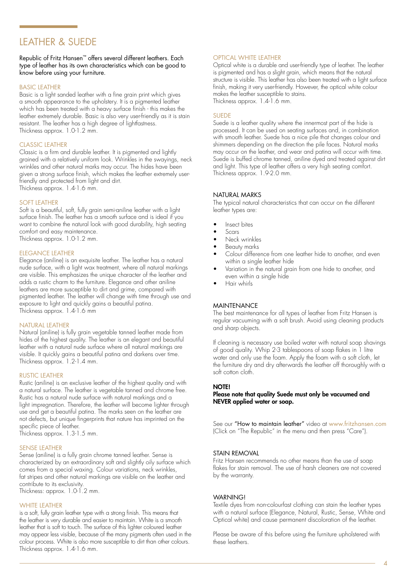### LEATHER & SUEDE

### Republic of Fritz Hansen™ offers several different leathers. Each type of leather has its own characteristics which can be good to know before using your furniture.

### BASIC LEATHER

Basic is a light sanded leather with a fine grain print which gives a smooth appearance to the upholstery. It is a pigmented leather which has been treated with a heavy surface finish - this makes the leather extremely durable. Basic is also very user-friendly as it is stain resistant. The leather has a high degree of lightfastness. Thickness approx. 1.0-1.2 mm.

### CLASSIC LEATHER

Classic is a firm and durable leather. It is pigmented and lightly grained with a relatively uniform look. Wrinkles in the swayings, neck wrinkles and other natural marks may occur. The hides have been given a strong surface finish, which makes the leather extremely userfriendly and protected from light and dirt. Thickness approx. 1.4-1.6 mm.

### SOFT LEATHER

Soft is a beautiful, soft, fully grain semi-aniline leather with a light surface finish. The leather has a smooth surface and is ideal if you want to combine the natural look with good durability, high seating comfort and easy maintenance. Thickness approx. 1.0-1.2 mm.

ELEGANCE LEATHER

Elegance (aniline) is an exquisite leather. The leather has a natural nude surface, with a light wax treatment, where all natural markings are visible. This emphasizes the unique character of the leather and adds a rustic charm to the furniture. Elegance and other aniline leathers are more susceptible to dirt and grime, compared with pigmented leather. The leather will change with time through use and exposure to light and quickly gains a beautiful patina. Thickness approx. 1.4-1.6 mm

### NATURAL LEATHER

Natural (aniline) is fully grain vegetable tanned leather made from hides of the highest quality. The leather is an elegant and beautiful leather with a natural nude surface where all natural markings are visible. It quickly gains a beautiful patina and darkens over time. Thickness approx. 1.2-1.4 mm.

### RUSTIC LEATHER

Rustic (aniline) is an exclusive leather of the highest quality and with a natural surface. The leather is vegetable tanned and chrome free. Rustic has a natural nude surface with natural markings and a light impregnation. Therefore, the leather will become lighter through use and get a beautiful patina. The marks seen on the leather are not defects, but unique fingerprints that nature has imprinted on the specific piece of leather.

Thickness approx. 1.3-1.5 mm.

### SENSE LEATHER

Sense (aniline) is a fully grain chrome tanned leather. Sense is characterized by an extraordinary soft and slightly oily surface which comes from a special waxing. Colour variations, neck wrinkles, fat stripes and other natural markings are visible on the leather and contribute to its exclusivity.

Thickness: approx. 1.0-1.2 mm.

### WHITE LEATHER

is a soft, fully grain leather type with a strong finish. This means that the leather is very durable and easier to maintain. White is a smooth leather that is soft to touch. The surface of this lighter coloured leather may appear less visible, because of the many pigments often used in the colour process. White is also more susceptible to dirt than other colours. Thickness approx. 1.4-1.6 mm.

### OPTICAL WHITE LEATHER

Optical white is a durable and user-friendly type of leather. The leather is pigmented and has a slight grain, which means that the natural structure is visible. This leather has also been treated with a light surface finish, making it very user-friendly. However, the optical white colour makes the leather susceptible to stains. Thickness approx. 1.4-1.6 mm.

SUEDE

Suede is a leather quality where the innermost part of the hide is processed. It can be used on seating surfaces and, in combination with smooth leather. Suede has a nice pile that changes colour and shimmers depending on the direction the pile faces. Natural marks may occur on the leather, and wear and patina will occur with time. Suede is buffed chrome tanned, aniline dyed and treated against dirt and light. This type of leather offers a very high seating comfort. Thickness approx. 1.9-2.0 mm.

### NATURAL MARKS

The typical natural characteristics that can occur on the different leather types are:

- Insect bites
- Scars
- Neck wrinkles
- Beauty marks
- Colour difference from one leather hide to another, and even within a single leather hide
- Variation in the natural grain from one hide to another, and even within a single hide
- Hair whirls

### **MAINTENANCE**

The best maintenance for all types of leather from Fritz Hansen is regular vacuuming with a soft brush. Avoid using cleaning products and sharp objects.

If cleaning is necessary use boiled water with natural soap shavings of good quality. Whip 2-3 tablespoons of soap flakes in 1 litre water and only use the foam. Apply the foam with a soft cloth, let the furniture dry and dry afterwards the leather off thoroughly with a soft cotton cloth.

### NOTE!

### Please note that quality Suede must only be vacuumed and NEVER applied water or soap.

See our "How to maintain leather" video at [www.fritzhansen.com](http://www.fritzhansen.com/en/fritz-hansen/the-republic/care-and-materials/Leather) (Click on "The Republic" in the menu and then press "Care").

#### STAIN REMOVAL

Fritz Hansen recommends no other means than the use of soap flakes for stain removal. The use of harsh cleaners are not covered by the warranty.

### WARNING!

Textile dyes from non-colourfast clothing can stain the leather types with a natural surface (Elegance, Natural, Rustic, Sense, White and Optical white) and cause permanent discoloration of the leather.

Please be aware of this before using the furniture upholstered with these leathers.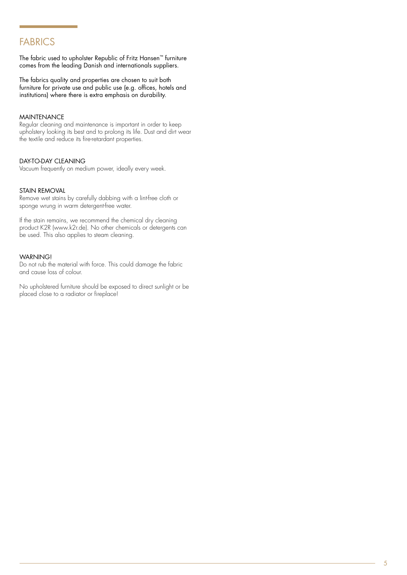### FABRICS

The fabric used to upholster Republic of Fritz Hansen™ furniture comes from the leading Danish and internationals suppliers.

The fabrics quality and properties are chosen to suit both furniture for private use and public use (e.g. offices, hotels and institutions) where there is extra emphasis on durability.

### MAINTENANCE

Regular cleaning and maintenance is important in order to keep upholstery looking its best and to prolong its life. Dust and dirt wear the textile and reduce its fire-retardant properties.

### DAY-TO-DAY CLEANING

Vacuum frequently on medium power, ideally every week.

### STAIN REMOVAL

Remove wet stains by carefully dabbing with a lint-free cloth or sponge wrung in warm detergent-free water.

If the stain remains, we recommend the chemical dry cleaning product K2R (www.k2r.de). No other chemicals or detergents can be used. This also applies to steam cleaning.

### WARNING!

Do not rub the material with force. This could damage the fabric and cause loss of colour.

No upholstered furniture should be exposed to direct sunlight or be placed close to a radiator or fireplace!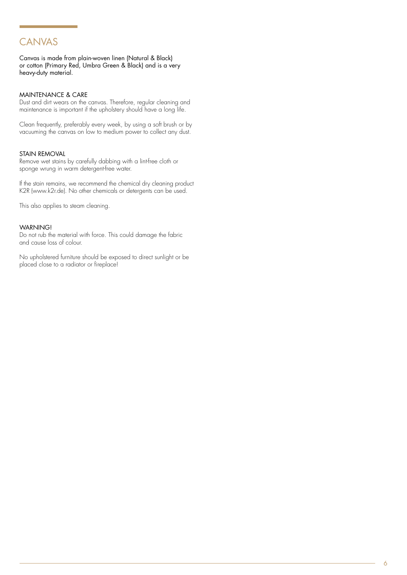## CANVAS

Canvas is made from plain-woven linen (Natural & Black) or cotton (Primary Red, Umbra Green & Black) and is a very heavy-duty material.

### MAINTENANCE & CARE

Dust and dirt wears on the canvas. Therefore, regular cleaning and maintenance is important if the upholstery should have a long life.

Clean frequently, preferably every week, by using a soft brush or by vacuuming the canvas on low to medium power to collect any dust.

### STAIN REMOVAL

Remove wet stains by carefully dabbing with a lint-free cloth or sponge wrung in warm detergent-free water.

If the stain remains, we recommend the chemical dry cleaning product K2R (www.k2r.de). No other chemicals or detergents can be used.

This also applies to steam cleaning.

### WARNING!

Do not rub the material with force. This could damage the fabric and cause loss of colour.

No upholstered furniture should be exposed to direct sunlight or be placed close to a radiator or fireplace!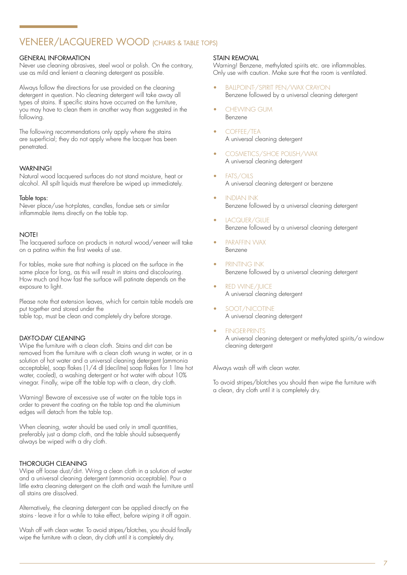## VENEER/LACQUERED WOOD (CHAIRS & TABLE TOPS)

### GENERAL INFORMATION

Never use cleaning abrasives, steel wool or polish. On the contrary, use as mild and lenient a cleaning detergent as possible.

Always follow the directions for use provided on the cleaning detergent in question. No cleaning detergent will take away all types of stains. If specific stains have occurred on the furniture, you may have to clean them in another way than suggested in the following.

The following recommendations only apply where the stains are superficial; they do not apply where the lacquer has been penetrated.

### WARNING!

Natural wood lacquered surfaces do not stand moisture, heat or alcohol. All spilt liquids must therefore be wiped up immediately.

### Table tops:

Never place/use hot-plates, candles, fondue sets or similar inflammable items directly on the table top.

### NOTE!

The lacquered surface on products in natural wood/veneer will take on a patina within the first weeks of use.

For tables, make sure that nothing is placed on the surface in the same place for long, as this will result in stains and discolouring. How much and how fast the surface will patinate depends on the exposure to light.

Please note that extension leaves, which for certain table models are put together and stored under the table top, must be clean and completely dry before storage.

### DAY-TO-DAY CLEANING

Wipe the furniture with a clean cloth. Stains and dirt can be removed from the furniture with a clean cloth wrung in water, or in a solution of hot water and a universal cleaning detergent (ammonia acceptable), soap flakes (1/4 dl (decilitre) soap flakes for 1 litre hot water, cooled), a washing detergent or hot water with about 10% vinegar. Finally, wipe off the table top with a clean, dry cloth.

Warning! Beware of excessive use of water on the table tops in order to prevent the coating on the table top and the aluminium edges will detach from the table top.

When cleaning, water should be used only in small quantities, preferably just a damp cloth, and the table should subsequently always be wiped with a dry cloth.

### THOROUGH CLEANING

Wipe off loose dust/dirt. Wring a clean cloth in a solution of water and a universal cleaning detergent (ammonia acceptable). Pour a little extra cleaning detergent on the cloth and wash the furniture until all stains are dissolved.

Alternatively, the cleaning detergent can be applied directly on the stains - leave it for a while to take effect, before wiping it off again.

Wash off with clean water. To avoid stripes/blotches, you should finally wipe the furniture with a clean, dry cloth until it is completely dry.

### STAIN REMOVAL

Warning! Benzene, methylated spirits etc. are inflammables. Only use with caution. Make sure that the room is ventilated.

- BALLPOINT-/SPIRIT PEN/WAX CRAYON Benzene followed by a universal cleaning detergent
- CHEWING GUM Benzene
- COFFEE/TEA A universal cleaning detergent
- COSMETICS/SHOE POLISH/WAX A universal cleaning detergent
- FATS/OILS A universal cleaning detergent or benzene
- INDIAN INK Benzene followed by a universal cleaning detergent
- LACQUER/GLUE Benzene followed by a universal cleaning detergent
- PARAFFIN WAX Benzene
- PRINTING INK Benzene followed by a universal cleaning detergent
- RED WINE/JUICE A universal cleaning detergent
- SOOT/NICOTINE A universal cleaning detergent
- **FINGER-PRINTS** A universal cleaning detergent or methylated spirits/a window cleaning detergent

Always wash off with clean water.

To avoid stripes/blotches you should then wipe the furniture with a clean, dry cloth until it is completely dry.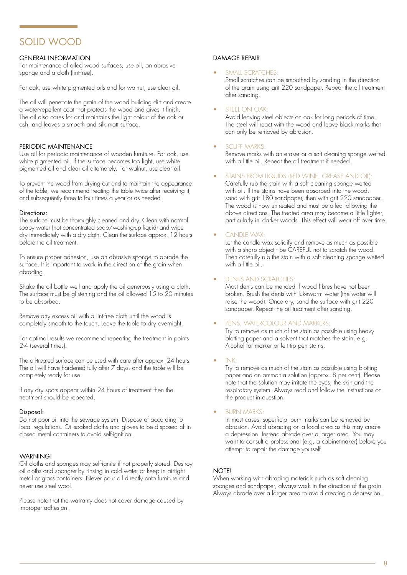## SOLID WOOD

### GENERAL INFORMATION

For maintenance of oiled wood surfaces, use oil, an abrasive sponge and a cloth (lint-free).

For oak, use white pigmented oils and for walnut, use clear oil.

The oil will penetrate the grain of the wood building dirt and create a water-repellent coat that protects the wood and gives it finish. The oil also cares for and maintains the light colour of the oak or ash, and leaves a smooth and silk matt surface.

### PERIODIC MAINTENANCE

Use oil for periodic maintenance of wooden furniture. For oak, use white pigmented oil. If the surface becomes too light, use white pigmented oil and clear oil alternately. For walnut, use clear oil.

To prevent the wood from drying out and to maintain the appearance of the table, we recommend treating the table twice after receiving it, and subsequently three to four times a year or as needed.

### Directions:

The surface must be thoroughly cleaned and dry. Clean with normal soapy water (not concentrated soap/washing-up liquid) and wipe dry immediately with a dry cloth. Clean the surface approx. 12 hours before the oil treatment.

To ensure proper adhesion, use an abrasive sponge to abrade the surface. It is important to work in the direction of the grain when abrading.

Shake the oil bottle well and apply the oil generously using a cloth. The surface must be glistening and the oil allowed  $15$  to  $20$  minutes to be absorbed.

Remove any excess oil with a lint-free cloth until the wood is completely smooth to the touch. Leave the table to dry overnight.

For optimal results we recommend repeating the treatment in points 2-4 (several times).

The oil-treated surface can be used with care after approx. 24 hours. The oil will have hardened fully after 7 days, and the table will be completely ready for use.

If any dry spots appear within 24 hours of treatment then the treatment should be repeated.

### Disposal:

Do not pour oil into the sewage system. Dispose of according to local regulations. Oil-soaked cloths and gloves to be disposed of in closed metal containers to avoid self-ignition.

### WARNING!

Oil cloths and sponges may self-ignite if not properly stored. Destroy oil cloths and sponges by rinsing in cold water or keep in airtight metal or glass containers. Never pour oil directly onto furniture and never use steel wool.

Please note that the warranty does not cover damage caused by improper adhesion.

### DAMAGE REPAIR

### SMAIL SCRATCHES<sup>-</sup>

Small scratches can be smoothed by sanding in the direction of the grain using grit 220 sandpaper. Repeat the oil treatment after sanding.

### STEEL ON OAK:

Avoid leaving steel objects on oak for long periods of time. The steel will react with the wood and leave black marks that can only be removed by abrasion.

### SCUFF MARKS:

Remove marks with an eraser or a soft cleaning sponge wetted with a little oil. Repeat the oil treatment if needed.

### STAINS FROM LIQUIDS (RED WINE, GREASE AND OIL):

Carefully rub the stain with a soft cleaning sponge wetted with oil. If the stains have been absorbed into the wood, sand with grit 180 sandpaper, then with grit 220 sandpaper. The wood is now untreated and must be oiled following the above directions. The treated area may become a little lighter, particularly in darker woods. This effect will wear off over time.

### CANDLE WAX:

Let the candle wax solidify and remove as much as possible with a sharp object - be CAREFUL not to scratch the wood. Then carefully rub the stain with a soft cleaning sponge wetted with a little oil.

### • DENTS AND SCRATCHES:

Most dents can be mended if wood fibres have not been broken. Brush the dents with lukewarm water (the water will raise the wood). Once dry, sand the surface with grit 220 sandpaper. Repeat the oil treatment after sanding.

### PENS, WATERCOLOUR AND MARKERS:

Try to remove as much of the stain as possible using heavy blotting paper and a solvent that matches the stain, e.g. Alcohol for marker or felt tip pen stains.

### • INK:

Try to remove as much of the stain as possible using blotting paper and an ammonia solution (approx. 8 per cent). Please note that the solution may irritate the eyes, the skin and the respiratory system. Always read and follow the instructions on the product in question.

### **BURN MARKS:**

In most cases, superficial burn marks can be removed by abrasion. Avoid abrading on a local area as this may create a depression. Instead abrade over a larger area. You may want to consult a professional (e.g. a cabinetmaker) before you attempt to repair the damage yourself.

### **NOTE!**

When working with abrading materials such as soft cleaning sponges and sandpaper, always work in the direction of the grain. Always abrade over a larger area to avoid creating a depression.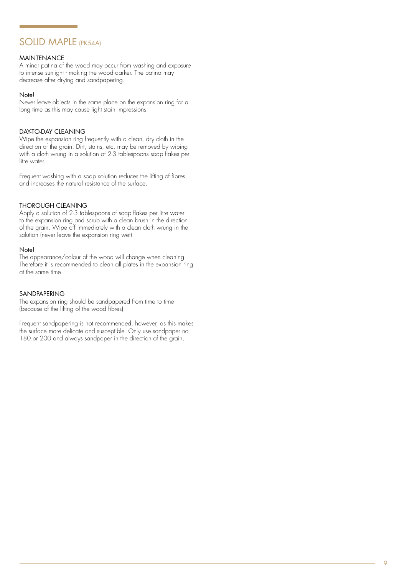## SOLID MAPLE (PK54A)

### MAINTENANCE

A minor patina of the wood may occur from washing and exposure to intense sunlight - making the wood darker. The patina may decrease after drying and sandpapering.

### Note!

Never leave objects in the same place on the expansion ring for a long time as this may cause light stain impressions.

### DAY-TO-DAY CLEANING

Wipe the expansion ring frequently with a clean, dry cloth in the direction of the grain. Dirt, stains, etc. may be removed by wiping with a cloth wrung in a solution of 2-3 tablespoons soap flakes per litre water.

Frequent washing with a soap solution reduces the lifting of fibres and increases the natural resistance of the surface.

### THOROUGH CLEANING

Apply a solution of 2-3 tablespoons of soap flakes per litre water to the expansion ring and scrub with a clean brush in the direction of the grain. Wipe off immediately with a clean cloth wrung in the solution (never leave the expansion ring wet).

### Note!

The appearance/colour of the wood will change when cleaning. Therefore it is recommended to clean all plates in the expansion ring at the same time.

### SANDPAPERING

The expansion ring should be sandpapered from time to time (because of the lifting of the wood fibres).

Frequent sandpapering is not recommended, however, as this makes the surface more delicate and susceptible. Only use sandpaper no. 180 or 200 and always sandpaper in the direction of the grain.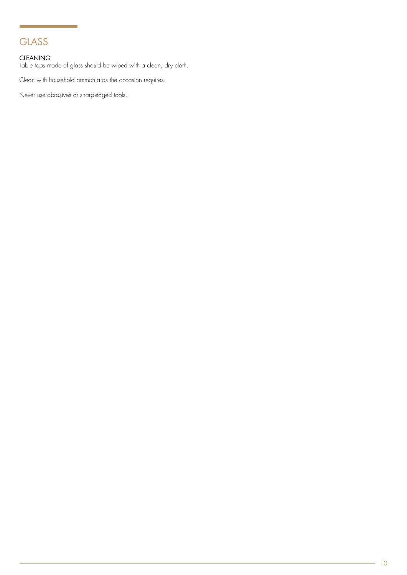## **GLASS**

### CLEANING

Table tops made of glass should be wiped with a clean, dry cloth.

Clean with household ammonia as the occasion requires.

Never use abrasives or sharp-edged tools.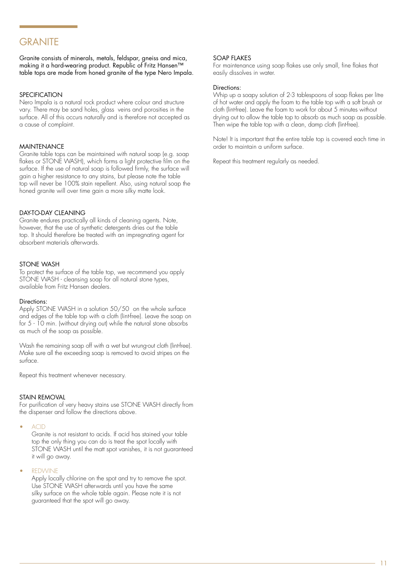### **GRANITE**

Granite consists of minerals, metals, feldspar, gneiss and mica, making it a hard-wearing product. Republic of Fritz Hansen™ table tops are made from honed granite of the type Nero Impala.

### **SPECIFICATION**

Nero Impala is a natural rock product where colour and structure vary. There may be sand holes, glass veins and porosities in the surface. All of this occurs naturally and is therefore not accepted as a cause of complaint.

### MAINTENANCE

Granite table tops can be maintained with natural soap (e.g. soap flakes or STONE WASH), which forms a light protective film on the surface. If the use of natural soap is followed firmly, the surface will gain a higher resistance to any stains, but please note the table top will never be 100% stain repellent. Also, using natural soap the honed granite will over time gain a more silky matte look.

### DAY-TO-DAY CLEANING

Granite endures practically all kinds of cleaning agents. Note, however, that the use of synthetic detergents dries out the table top. It should therefore be treated with an impregnating agent for absorbent materials afterwards.

### STONE WASH

To protect the surface of the table top, we recommend you apply STONE WASH - cleansing soap for all natural stone types, available from Fritz Hansen dealers.

### Directions:

Apply STONE WASH in a solution 50/50 on the whole surface and edges of the table top with a cloth (lint-free). Leave the soap on for 5 - 10 min. (without drying out) while the natural stone absorbs as much of the soap as possible.

Wash the remaining soap off with a wet but wrung-out cloth (lint-free). Make sure all the exceeding soap is removed to avoid stripes on the surface.

Repeat this treatment whenever necessary.

### STAIN REMOVAL

For purification of very heavy stains use STONE WASH directly from the dispenser and follow the directions above.

• ACID

Granite is not resistant to acids. If acid has stained your table top the only thing you can do is treat the spot locally with STONE WASH until the matt spot vanishes, it is not guaranteed it will go away.

**REDWINE** 

Apply locally chlorine on the spot and try to remove the spot. Use STONE WASH afterwards until you have the same silky surface on the whole table again. Please note it is not guaranteed that the spot will go away.

### SOAP FLAKES

For maintenance using soap flakes use only small, fine flakes that easily dissolves in water.

#### Directions:

Whip up a soapy solution of 2-3 tablespoons of soap flakes per litre of hot water and apply the foam to the table top with a soft brush or cloth (lint-free). Leave the foam to work for about 5 minutes without drying out to allow the table top to absorb as much soap as possible. Then wipe the table top with a clean, damp cloth (lint-free).

Note! It is important that the entire table top is covered each time in order to maintain a uniform surface.

Repeat this treatment regularly as needed.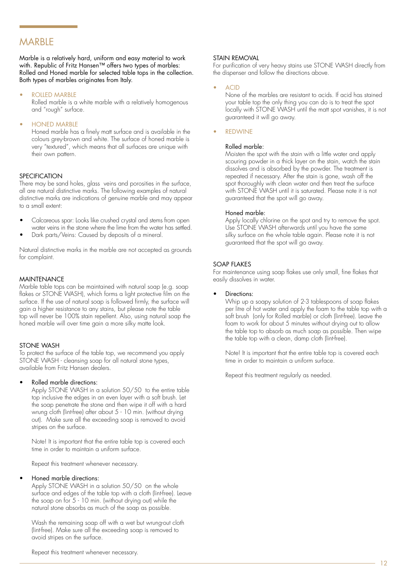### **MARBIF**

Marble is a relatively hard, uniform and easy material to work with. Republic of Fritz Hansen™ offers two types of marbles: Rolled and Honed marble for selected table tops in the collection. Both types of marbles originates from Italy.

### ROLLED MARBLE

Rolled marble is a white marble with a relatively homogenous and "rough" surface.

### • HONED MARBLE

Honed marble has a finely matt surface and is available in the colours grey-brown and white. The surface of honed marble is very "textured", which means that all surfaces are unique with their own pattern.

### **SPECIFICATION**

There may be sand holes, glass veins and porosities in the surface, all are natural distinctive marks. The following examples of natural distinctive marks are indications of genuine marble and may appear to a small extent:

- Calcareous spar: Looks like crushed crystal and stems from open water veins in the stone where the lime from the water has settled.
- Dark parts/Veins: Caused by deposits of a mineral.

Natural distinctive marks in the marble are not accepted as grounds for complaint.

### MAINTENANCE

Marble table tops can be maintained with natural soap (e.g. soap flakes or STONE WASH), which forms a light protective film on the surface. If the use of natural soap is followed firmly, the surface will gain a higher resistance to any stains, but please note the table top will never be 100% stain repellent. Also, using natural soap the honed marble will over time gain a more silky matte look.

### STONE WASH

To protect the surface of the table top, we recommend you apply STONE WASH - cleansing soap for all natural stone types, available from Fritz Hansen dealers.

### • Rolled marble directions:

Apply STONE WASH in a solution 50/50 to the entire table top inclusive the edges in an even layer with a soft brush. Let the soap penetrate the stone and then wipe it off with a hard wrung cloth (lint-free) after about 5 - 10 min. (without drying out). Make sure all the exceeding soap is removed to avoid stripes on the surface.

Note! It is important that the entire table top is covered each time in order to maintain a uniform surface.

Repeat this treatment whenever necessary.

### • Honed marble directions:

Apply STONE WASH in a solution 50/50 on the whole surface and edges of the table top with a cloth (lint-free). Leave the soap on for 5 - 10 min. (without drying out) while the natural stone absorbs as much of the soap as possible.

Wash the remaining soap off with a wet but wrung-out cloth (lint-free). Make sure all the exceeding soap is removed to avoid stripes on the surface.

### STAIN REMOVAL

For purification of very heavy stains use STONE WASH directly from the dispenser and follow the directions above.

### • ACID

None of the marbles are resistant to acids. If acid has stained your table top the only thing you can do is to treat the spot locally with STONE WASH until the matt spot vanishes, it is not guaranteed it will go away.

### **REDWINE**

### Rolled marble:

Moisten the spot with the stain with a little water and apply scouring powder in a thick layer on the stain, watch the stain dissolves and is absorbed by the powder. The treatment is repeated if necessary. After the stain is gone, wash off the spot thoroughly with clean water and then treat the surface with STONE WASH until it is saturated. Please note it is not guaranteed that the spot will go away.

### Honed marble:

Apply locally chlorine on the spot and try to remove the spot. Use STONE WASH afterwards until you have the same silky surface on the whole table again. Please note it is not guaranteed that the spot will go away.

### SOAP FLAKES

For maintenance using soap flakes use only small, fine flakes that easily dissolves in water.

### Directions:

Whip up a soapy solution of 2-3 tablespoons of soap flakes per litre of hot water and apply the foam to the table top with a soft brush (only for Rolled marble) or cloth (lint-free). Leave the foam to work for about 5 minutes without drying out to allow the table top to absorb as much soap as possible. Then wipe the table top with a clean, damp cloth (lint-free).

Note! It is important that the entire table top is covered each time in order to maintain a uniform surface.

Repeat this treatment regularly as needed.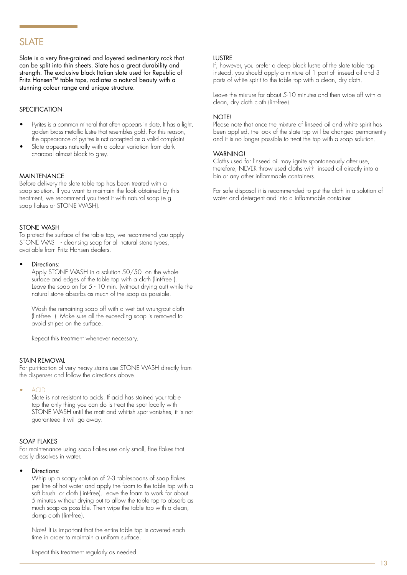### SLAT<sub>F</sub>

Slate is a very fine-grained and layered sedimentary rock that can be split into thin sheets. Slate has a great durability and strength. The exclusive black Italian slate used for Republic of Fritz Hansen™ table tops, radiates a natural beauty with a stunning colour range and unique structure.

### **SPECIFICATION**

- Pyrites is a common mineral that often appears in slate. It has a light, golden brass metallic lustre that resembles gold. For this reason, the appearance of pyrites is not accepted as a valid complaint
- Slate appears naturally with a colour variation from dark charcoal almost black to grey.

### MAINTENANCE

Before delivery the slate table top has been treated with a soap solution. If you want to maintain the look obtained by this treatment, we recommend you treat it with natural soap (e.g. soap flakes or STONE WASH).

### STONE WASH

To protect the surface of the table top, we recommend you apply STONE WASH - cleansing soap for all natural stone types, available from Fritz Hansen dealers.

### Directions:

Apply STONE WASH in a solution 50/50 on the whole surface and edges of the table top with a cloth (lint-free ). Leave the soap on for 5 - 10 min. (without drying out) while the natural stone absorbs as much of the soap as possible.

Wash the remaining soap off with a wet but wrung-out cloth (lint-free ). Make sure all the exceeding soap is removed to avoid stripes on the surface.

Repeat this treatment whenever necessary.

### STAIN REMOVAL

For purification of very heavy stains use STONE WASH directly from the dispenser and follow the directions above.

• ACID

Slate is not resistant to acids. If acid has stained your table top the only thing you can do is treat the spot locally with STONE WASH until the matt and whitish spot vanishes, it is not guaranteed it will go away.

### SOAP FLAKES

For maintenance using soap flakes use only small, fine flakes that easily dissolves in water.

### Directions:

Whip up a soapy solution of 2-3 tablespoons of soap flakes per litre of hot water and apply the foam to the table top with a soft brush or cloth (lint-free). Leave the foam to work for about 5 minutes without drying out to allow the table top to absorb as much soap as possible. Then wipe the table top with a clean, damp cloth (lint-free).

Note! It is important that the entire table top is covered each time in order to maintain a uniform surface.

### **LUSTRE**

If, however, you prefer a deep black lustre of the slate table top instead, you should apply a mixture of 1 part of linseed oil and 3 parts of white spirit to the table top with a clean, dry cloth.

Leave the mixture for about 5-10 minutes and then wipe off with a clean, dry cloth cloth (lint-free).

### NOTE!

Please note that once the mixture of linseed oil and white spirit has been applied, the look of the slate top will be changed permanently and it is no longer possible to treat the top with a soap solution.

### **WARNING!**

Cloths used for linseed oil may ignite spontaneously after use, therefore, NEVER throw used cloths with linseed oil directly into a bin or any other inflammable containers.

For safe disposal it is recommended to put the cloth in a solution of water and detergent and into a inflammable container.

Repeat this treatment regularly as needed.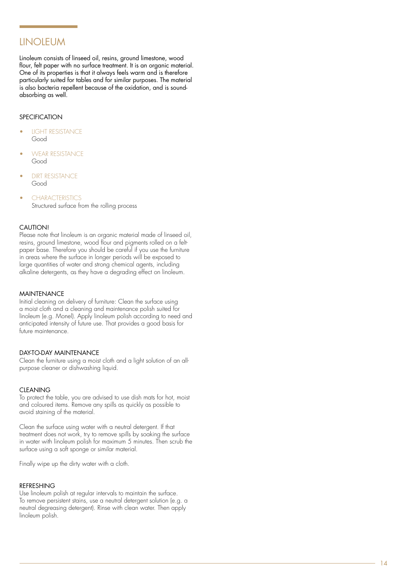### **LINOLEUM**

Linoleum consists of linseed oil, resins, ground limestone, wood flour, felt paper with no surface treatment. It is an organic material. One of its properties is that it always feels warm and is therefore particularly suited for tables and for similar purposes. The material is also bacteria repellent because of the oxidation, and is soundabsorbing as well.

### **SPECIFICATION**

- **LIGHT RESISTANCE** Good
- WEAR RESISTANCE Good
- **DIRT RESISTANCE** Good
- CHARACTERISTICS Structured surface from the rolling process

### CAUTION!

Please note that linoleum is an organic material made of linseed oil, resins, ground limestone, wood flour and pigments rolled on a feltpaper base. Therefore you should be careful if you use the furniture in areas where the surface in longer periods will be exposed to large quantities of water and strong chemical agents, including alkaline detergents, as they have a degrading effect on linoleum.

### MAINTENANCE

Initial cleaning on delivery of furniture: Clean the surface using a moist cloth and a cleaning and maintenance polish suited for linoleum (e.g. Monel). Apply linoleum polish according to need and anticipated intensity of future use. That provides a good basis for future maintenance.

### DAY-TO-DAY MAINTENANCE

Clean the furniture using a moist cloth and a light solution of an allpurpose cleaner or dishwashing liquid.

### **CIFANING**

To protect the table, you are advised to use dish mats for hot, moist and coloured items. Remove any spills as quickly as possible to avoid staining of the material.

Clean the surface using water with a neutral detergent. If that treatment does not work, try to remove spills by soaking the surface in water with linoleum polish for maximum 5 minutes. Then scrub the surface using a soft sponge or similar material.

Finally wipe up the dirty water with a cloth.

### REFRESHING

Use linoleum polish at regular intervals to maintain the surface. To remove persistent stains, use a neutral detergent solution (e.g. a neutral degreasing detergent). Rinse with clean water. Then apply linoleum polish.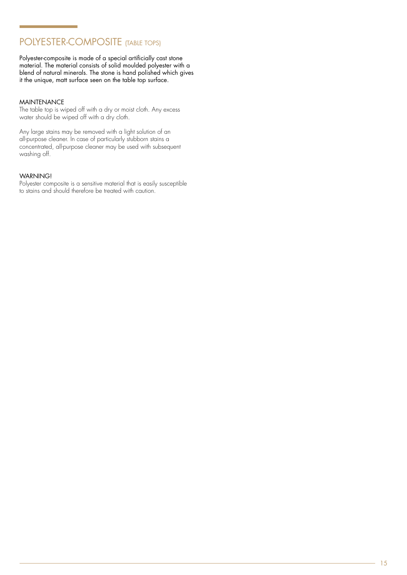## POLYESTER-COMPOSITE (TABLE TOPS)

Polyester-composite is made of a special artificially cast stone material. The material consists of solid moulded polyester with a blend of natural minerals. The stone is hand polished which gives it the unique, matt surface seen on the table top surface.

### MAINTENANCE

The table top is wiped off with a dry or moist cloth. Any excess water should be wiped off with a dry cloth.

Any large stains may be removed with a light solution of an all-purpose cleaner. In case of particularly stubborn stains a concentrated, all-purpose cleaner may be used with subsequent washing off.

### WARNING!

Polyester composite is a sensitive material that is easily susceptible to stains and should therefore be treated with caution.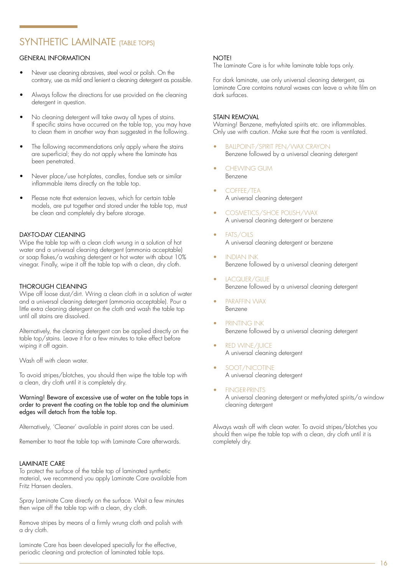## SYNTHETIC LAMINATE (TABLE TOPS)

### GENERAL INFORMATION

- Never use cleaning abrasives, steel wool or polish. On the contrary, use as mild and lenient a cleaning detergent as possible.
- Always follow the directions for use provided on the cleaning detergent in question.
- No cleaning detergent will take away all types of stains. If specific stains have occurred on the table top, you may have to clean them in another way than suggested in the following.
- The following recommendations only apply where the stains are superficial; they do not apply where the laminate has been penetrated.
- Never place/use hot-plates, candles, fondue sets or similar inflammable items directly on the table top.
- Please note that extension leaves, which for certain table models, are put together and stored under the table top, must be clean and completely dry before storage.

### DAY-TO-DAY CLEANING

Wipe the table top with a clean cloth wrung in a solution of hot water and a universal cleaning detergent (ammonia acceptable) or soap flakes/a washing detergent or hot water with about 10% vinegar. Finally, wipe it off the table top with a clean, dry cloth.

### THOROUGH CLEANING

Wipe off loose dust/dirt. Wring a clean cloth in a solution of water and a universal cleaning detergent (ammonia acceptable). Pour a little extra cleaning detergent on the cloth and wash the table top until all stains are dissolved.

Alternatively, the cleaning detergent can be applied directly on the table top/stains. Leave it for a few minutes to take effect before wiping it off again.

Wash off with clean water.

To avoid stripes/blotches, you should then wipe the table top with a clean, dry cloth until it is completely dry.

### Warning! Beware of excessive use of water on the table tops in order to prevent the coating on the table top and the aluminium edges will detach from the table top.

Alternatively, 'Cleaner' available in paint stores can be used.

Remember to treat the table top with Laminate Care afterwards.

### LAMINATE CARE

To protect the surface of the table top of laminated synthetic material, we recommend you apply Laminate Care available from Fritz Hansen dealers.

Spray Laminate Care directly on the surface. Wait a few minutes then wipe off the table top with a clean, dry cloth.

Remove stripes by means of a firmly wrung cloth and polish with a dry cloth.

Laminate Care has been developed specially for the effective, periodic cleaning and protection of laminated table tops.

### **NOTE!**

The Laminate Care is for white laminate table tops only.

For dark laminate, use only universal cleaning detergent, as Laminate Care contains natural waxes can leave a white film on dark surfaces.

### STAIN REMOVAL

Warning! Benzene, methylated spirits etc. are inflammables. Only use with caution. Make sure that the room is ventilated.

- BALLPOINT-/SPIRIT PEN/WAX CRAYON Benzene followed by a universal cleaning detergent
- CHEWING GUM Benzene
- COFFEE/TEA A universal cleaning detergent
- COSMETICS/SHOE POLISH/WAX A universal cleaning detergent or benzene
- FATS/OILS A universal cleaning detergent or benzene
- INDIAN INK Benzene followed by a universal cleaning detergent
- LACQUER/GLUE Benzene followed by a universal cleaning detergent
- PARAFFIN WAX Benzene
- PRINTING INK Benzene followed by a universal cleaning detergent
- **RED WINE/JUICE** A universal cleaning detergent
- SOOT/NICOTINE A universal cleaning detergent
- FINGER-PRINTS A universal cleaning detergent or methylated spirits/a window cleaning detergent

Always wash off with clean water. To avoid stripes/blotches you should then wipe the table top with a clean, dry cloth until it is completely dry.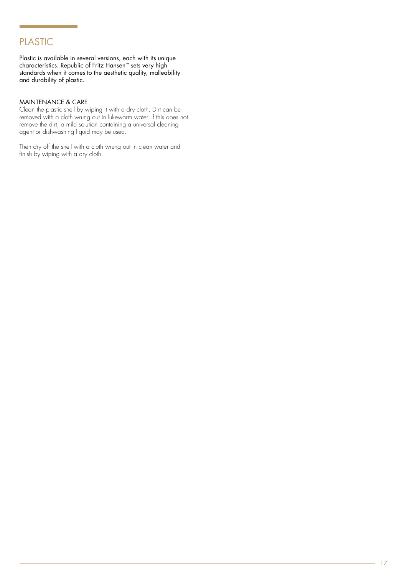## PLASTIC

Plastic is available in several versions, each with its unique characteristics. Republic of Fritz Hansen™ sets very high standards when it comes to the aesthetic quality, malleability and durability of plastic.

### MAINTENANCE & CARE

Clean the plastic shell by wiping it with a dry cloth. Dirt can be removed with a cloth wrung out in lukewarm water. If this does not remove the dirt, a mild solution containing a universal cleaning agent or dishwashing liquid may be used.

Then dry off the shell with a cloth wrung out in clean water and finish by wiping with a dry cloth.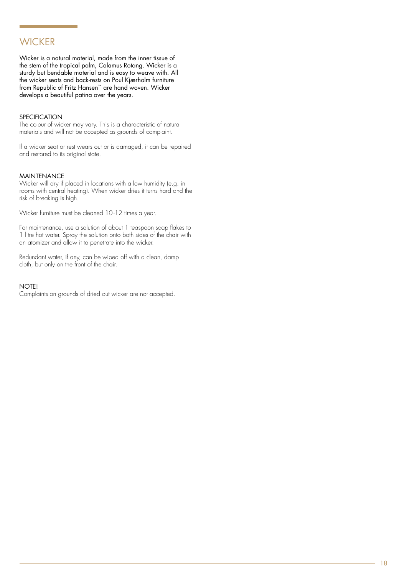## **WICKER**

Wicker is a natural material, made from the inner tissue of the stem of the tropical palm, Calamus Rotang. Wicker is a sturdy but bendable material and is easy to weave with. All the wicker seats and back-rests on Poul Kjærholm furniture from Republic of Fritz Hansen™ are hand woven. Wicker develops a beautiful patina over the years.

### **SPECIFICATION**

The colour of wicker may vary. This is a characteristic of natural materials and will not be accepted as grounds of complaint.

If a wicker seat or rest wears out or is damaged, it can be repaired and restored to its original state.

### MAINTENANCE

Wicker will dry if placed in locations with a low humidity (e.g. in rooms with central heating). When wicker dries it turns hard and the risk of breaking is high.

Wicker furniture must be cleaned 10-12 times a year.

For maintenance, use a solution of about 1 teaspoon soap flakes to 1 litre hot water. Spray the solution onto both sides of the chair with an atomizer and allow it to penetrate into the wicker.

Redundant water, if any, can be wiped off with a clean, damp cloth, but only on the front of the chair.

### **NOTE!**

Complaints on grounds of dried out wicker are not accepted.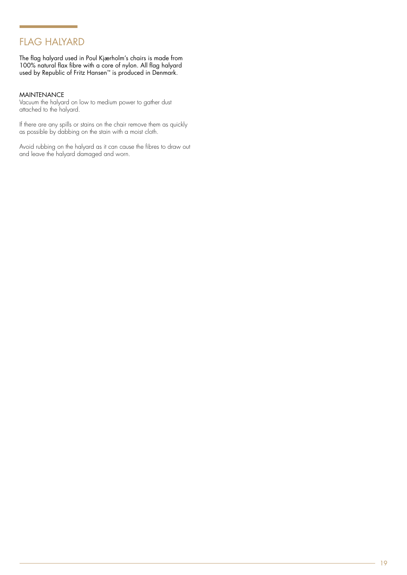## FLAG HALYARD

The flag halyard used in Poul Kjærholm's chairs is made from 100% natural flax fibre with a core of nylon. All flag halyard used by Republic of Fritz Hansen™ is produced in Denmark.

### MAINTENANCE

Vacuum the halyard on low to medium power to gather dust attached to the halyard.

If there are any spills or stains on the chair remove them as quickly as possible by dabbing on the stain with a moist cloth.

Avoid rubbing on the halyard as it can cause the fibres to draw out and leave the halyard damaged and worn.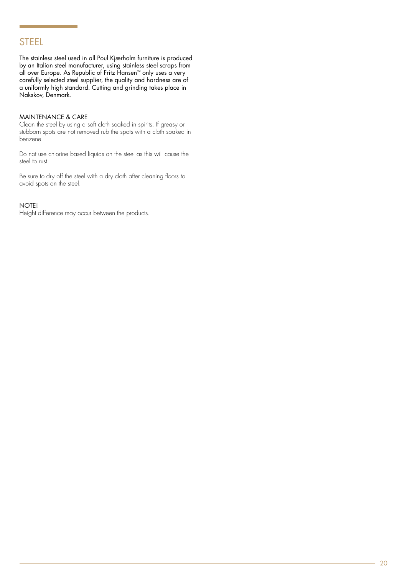### STEEL

The stainless steel used in all Poul Kjærholm furniture is produced by an Italian steel manufacturer, using stainless steel scraps from all over Europe. As Republic of Fritz Hansen™ only uses a very carefully selected steel supplier, the quality and hardness are of a uniformly high standard. Cutting and grinding takes place in Nakskov, Denmark.

### MAINTENANCE & CARE

Clean the steel by using a soft cloth soaked in spirits. If greasy or stubborn spots are not removed rub the spots with a cloth soaked in benzene.

Do not use chlorine based liquids on the steel as this will cause the steel to rust.

Be sure to dry off the steel with a dry cloth after cleaning floors to avoid spots on the steel.

### NOTE!

Height difference may occur between the products.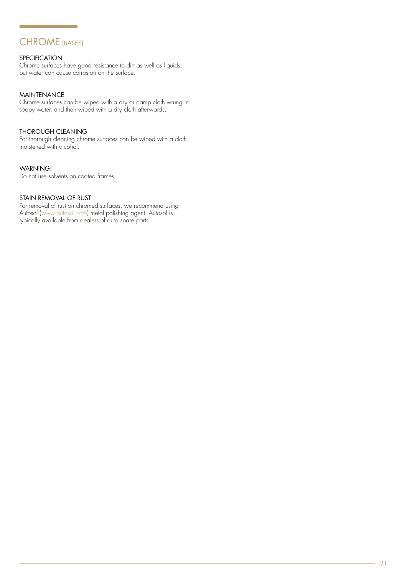## CHROME (BASES)

### SPECIFICATION

Chrome surfaces have good resistance to dirt as well as liquids, but water can cause corrosion on the surface.

### MAINTENANCE

Chrome surfaces can be wiped with a dry or damp cloth wrung in soapy water, and then wiped with a dry cloth afterwards.

### THOROUGH CLEANING

For thorough cleaning chrome surfaces can be wiped with a cloth moistened with alcohol.

### WARNING!

Do not use solvents on coated frames.

### STAIN REMOVAL OF RUST

For removal of rust on chromed surfaces, we recommend using Autosol [\(www.autosol.com](http://www.autosol.com/)) metal polishing agent. Autosol is typically available from dealers of auto spare parts.